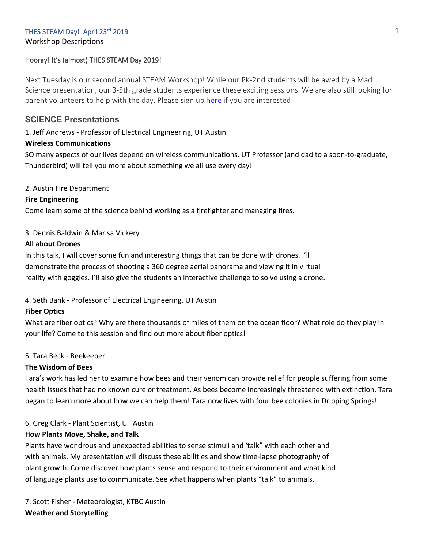# THES STEAM Day! April 23rd 2019

Workshop Descriptions

# Hooray! It's (almost) THES STEAM Day 2019!

Next Tuesday is our second annual STEAM Workshop! While our PK-2nd students will be awed by a Mad Science presentation, our 3-5th grade students experience these exciting sessions. We are also still looking for parent volunteers to help with the day. Please sign up here if you are interested.

# **SCIENCE Presentations**

1. Jeff Andrews - Professor of Electrical Engineering, UT Austin

# **Wireless Communications**

SO many aspects of our lives depend on wireless communications. UT Professor (and dad to a soon-to-graduate, Thunderbird) will tell you more about something we all use every day!

# 2. Austin Fire Department

# **Fire Engineering**

Come learn some of the science behind working as a firefighter and managing fires.

# 3. Dennis Baldwin & Marisa Vickery

# **All about Drones**

In this talk, I will cover some fun and interesting things that can be done with drones. I'll demonstrate the process of shooting a 360 degree aerial panorama and viewing it in virtual reality with goggles. I'll also give the students an interactive challenge to solve using a drone.

# 4. Seth Bank - Professor of Electrical Engineering, UT Austin

### **Fiber Optics**

What are fiber optics? Why are there thousands of miles of them on the ocean floor? What role do they play in your life? Come to this session and find out more about fiber optics!

# 5. Tara Beck - Beekeeper

### **The Wisdom of Bees**

Tara's work has led her to examine how bees and their venom can provide relief for people suffering from some health issues that had no known cure or treatment. As bees become increasingly threatened with extinction, Tara began to learn more about how we can help them! Tara now lives with four bee colonies in Dripping Springs!

# 6. Greg Clark - Plant Scientist, UT Austin

# **How Plants Move, Shake, and Talk**

Plants have wondrous and unexpected abilities to sense stimuli and 'talk" with each other and with animals. My presentation will discuss these abilities and show time-lapse photography of plant growth. Come discover how plants sense and respond to their environment and what kind of language plants use to communicate. See what happens when plants "talk" to animals.

7. Scott Fisher - Meteorologist, KTBC Austin **Weather and Storytelling**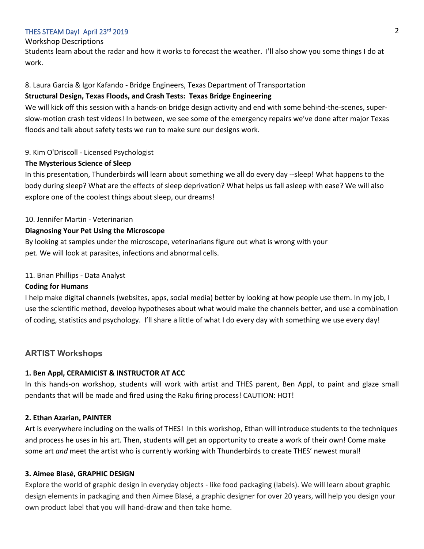### THES STEAM Day! April 23rd 2019

#### Workshop Descriptions

Students learn about the radar and how it works to forecast the weather. I'll also show you some things I do at work.

### 8. Laura Garcia & Igor Kafando - Bridge Engineers, Texas Department of Transportation

#### **Structural Design, Texas Floods, and Crash Tests: Texas Bridge Engineering**

We will kick off this session with a hands-on bridge design activity and end with some behind-the-scenes, superslow-motion crash test videos! In between, we see some of the emergency repairs we've done after major Texas floods and talk about safety tests we run to make sure our designs work.

### 9. Kim O'Driscoll - Licensed Psychologist

### **The Mysterious Science of Sleep**

In this presentation, Thunderbirds will learn about something we all do every day --sleep! What happens to the body during sleep? What are the effects of sleep deprivation? What helps us fall asleep with ease? We will also explore one of the coolest things about sleep, our dreams!

#### 10. Jennifer Martin - Veterinarian

### **Diagnosing Your Pet Using the Microscope**

By looking at samples under the microscope, veterinarians figure out what is wrong with your pet. We will look at parasites, infections and abnormal cells.

### 11. Brian Phillips - Data Analyst

### **Coding for Humans**

I help make digital channels (websites, apps, social media) better by looking at how people use them. In my job, I use the scientific method, develop hypotheses about what would make the channels better, and use a combination of coding, statistics and psychology. I'll share a little of what I do every day with something we use every day!

### **ARTIST Workshops**

#### **1. Ben Appl, CERAMICIST & INSTRUCTOR AT ACC**

In this hands-on workshop, students will work with artist and THES parent, Ben Appl, to paint and glaze small pendants that will be made and fired using the Raku firing process! CAUTION: HOT!

#### **2. Ethan Azarian, PAINTER**

Art is everywhere including on the walls of THES! In this workshop, Ethan will introduce students to the techniques and process he uses in his art. Then, students will get an opportunity to create a work of their own! Come make some art *and* meet the artist who is currently working with Thunderbirds to create THES' newest mural!

#### **3. Aimee Blasé, GRAPHIC DESIGN**

Explore the world of graphic design in everyday objects - like food packaging (labels). We will learn about graphic design elements in packaging and then Aimee Blasé, a graphic designer for over 20 years, will help you design your own product label that you will hand-draw and then take home.